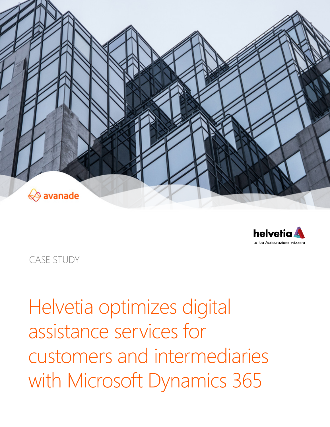



CASE STUDY

Helvetia optimizes digital assistance services for customers and intermediaries with Microsoft Dynamics 365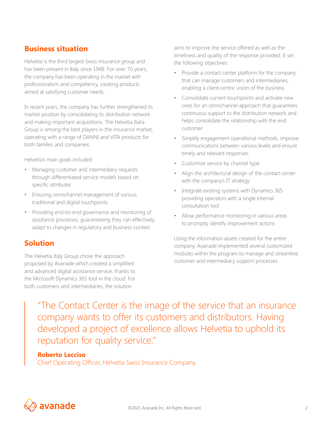# **Business situation**

Helvetia is the third largest Swiss insurance group and has been present in Italy since 1948. For over 70 years, the company has been operating in the market with professionalism and competency, creating products aimed at satisfying customer needs.

In recent years, the company has further strengthened its market position by consolidating its distribution network and making important acquisitions. The Helvetia Italia Group is among the best players in the insurance market, operating with a range of DANNI and VITA products for both families and companies.

Helvetia's main goals included:

- Managing customer and intermediary requests through differentiated service models based on specific attributes
- Ensuring omnichannel management of various traditional and digital touchpoints
- Providing end-to-end governance and monitoring of assistance processes, guaranteeing they can effectively adapt to changes in regulatory and business context

### **Solution**

The Helvetia Italy Group chose the approach proposed by Avanade which created a simplified and advanced digital assistance service, thanks to the Microsoft Dynamics 365 tool in the cloud. For both customers and intermediaries, the solution

aims to improve the service offered as well as the timeliness and quality of the response provided. It set the following objectives:

- Provide a contact center platform for the company that can manage customers and intermediaries, enabling a client-centric vision of the business
- Consolidate current touchpoints and activate new ones for an omnichannel approach that guarantees continuous support to the distribution network and helps consolidate the relationship with the end customer
- Simplify engagement operational methods, improve communications between various levels and ensure timely and relevant responses
- Customize service by channel type
- Align the architectural design of the contact center with the company's IT strategy
- Integrate existing systems with Dynamics 365 providing operators with a single internal consultation tool
- Allow performance monitoring in various areas to promptly identify improvement actions

Using the information assets created for the entire company, Avanade implemented several customized modules within the program to manage and streamline customer and intermediary support processes.

"The Contact Center is the image of the service that an insurance company wants to offer its customers and distributors. Having developed a project of excellence allows Helvetia to uphold its reputation for quality service."

### **Roberto Lecciso**

Chief Operating Officer, Helvetia Swiss Insurance Company